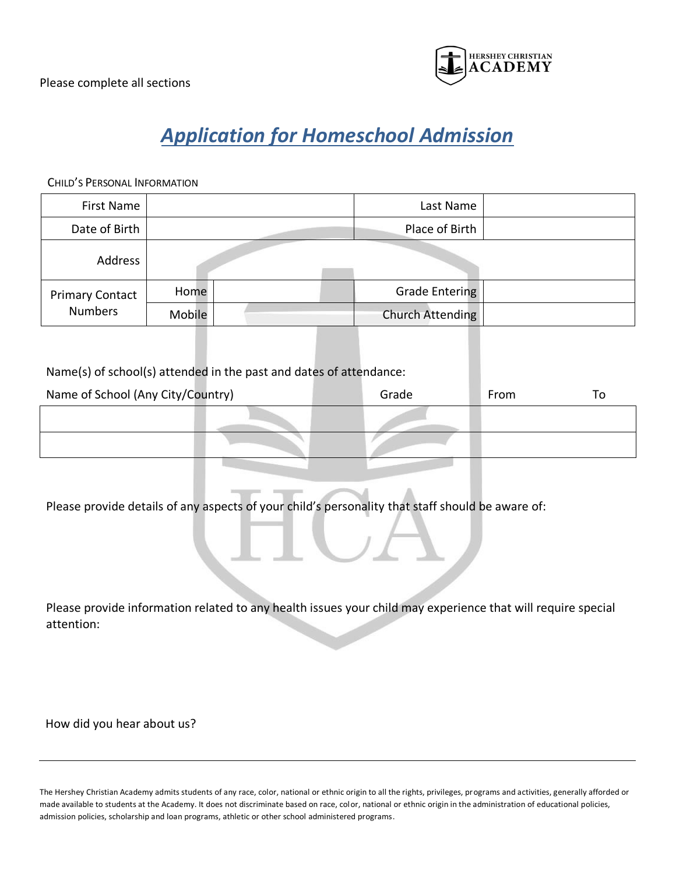

## *Application for Homeschool Admission*

CHILD'S PERSONAL INFORMATION

| First Name             |        | Last Name        |  |
|------------------------|--------|------------------|--|
| Date of Birth          |        | Place of Birth   |  |
| Address                |        |                  |  |
| <b>Primary Contact</b> | Home   | Grade Entering   |  |
| <b>Numbers</b>         | Mobile | Church Attending |  |

Name(s) of school(s) attended in the past and dates of attendance:

| Name of School (Any City/Country) | Grade | From | 10 |
|-----------------------------------|-------|------|----|
|                                   |       |      |    |
|                                   |       |      |    |

Please provide details of any aspects of your child's personality that staff should be aware of:

| Please provide information related to any health issues your child may experience that will require special |  |  |
|-------------------------------------------------------------------------------------------------------------|--|--|
| attention:                                                                                                  |  |  |

How did you hear about us?

The Hershey Christian Academy admits students of any race, color, national or ethnic origin to all the rights, privileges, programs and activities, generally afforded or made available to students at the Academy. It does not discriminate based on race, color, national or ethnic origin in the administration of educational policies, admission policies, scholarship and loan programs, athletic or other school administered programs.